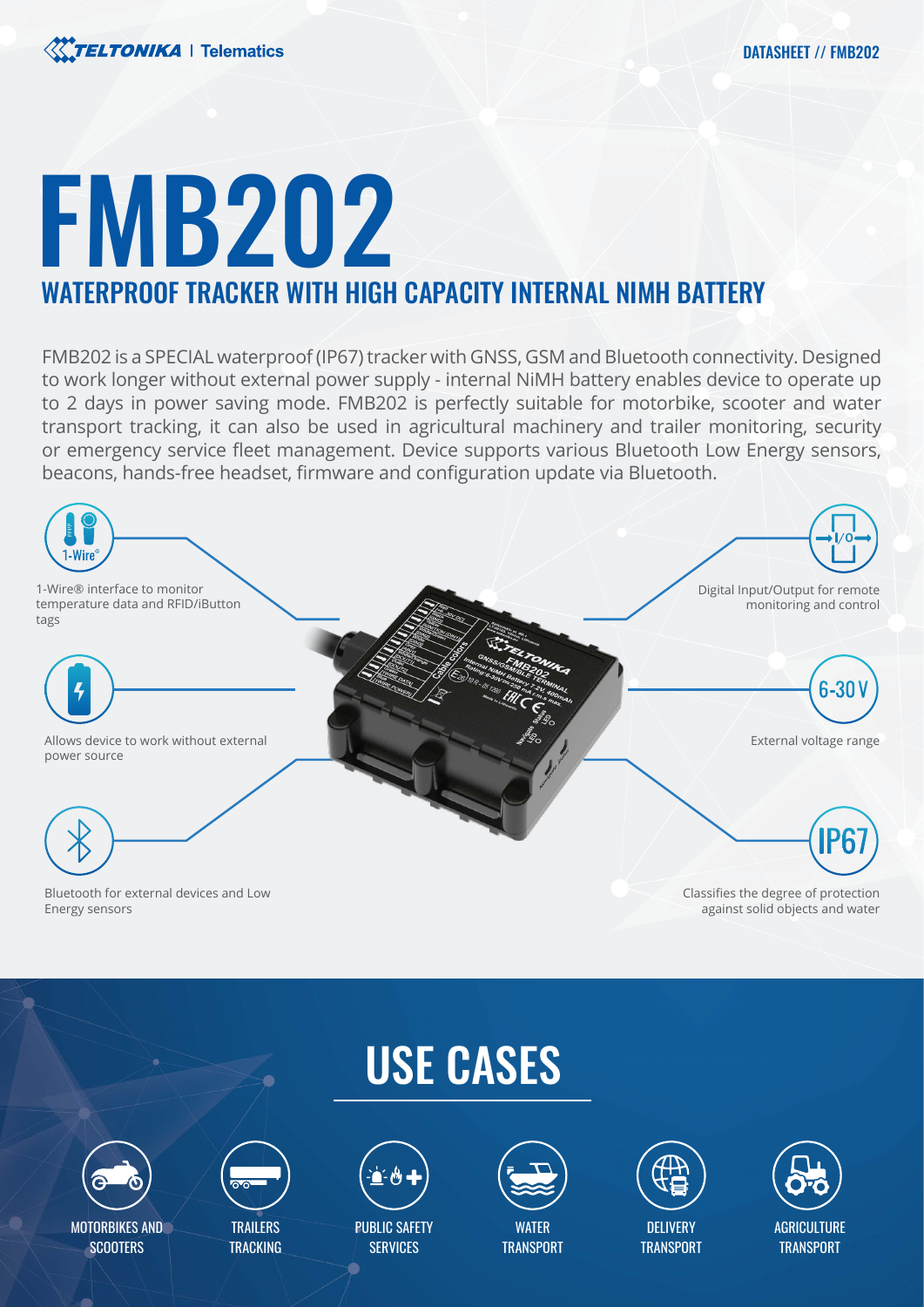

# FMB202 WATERPROOF TRACKER WITH HIGH CAPACITY INTERNAL NIMH BATTERY

FMB202 is a SPECIAL waterproof (IP67) tracker with GNSS, GSM and Bluetooth connectivity. Designed to work longer without external power supply - internal NiMH battery enables device to operate up to 2 days in power saving mode. FMB202 is perfectly suitable for motorbike, scooter and water transport tracking, it can also be used in agricultural machinery and trailer monitoring, security or emergency service fleet management. Device supports various Bluetooth Low Energy sensors, beacons, hands-free headset, firmware and configuration update via Bluetooth.



Bluetooth for external devices and Low Energy sensors

Classifies the degree of protection against solid objects and water

# USE CASES



MOTORBIKES AND **SCOOTERS** 



**TRAILERS TRACKING** 



PUBLIC SAFETY **SERVICES** 



**WATFR TRANSPORT** 



**AGRICULTURE TRANSPORT**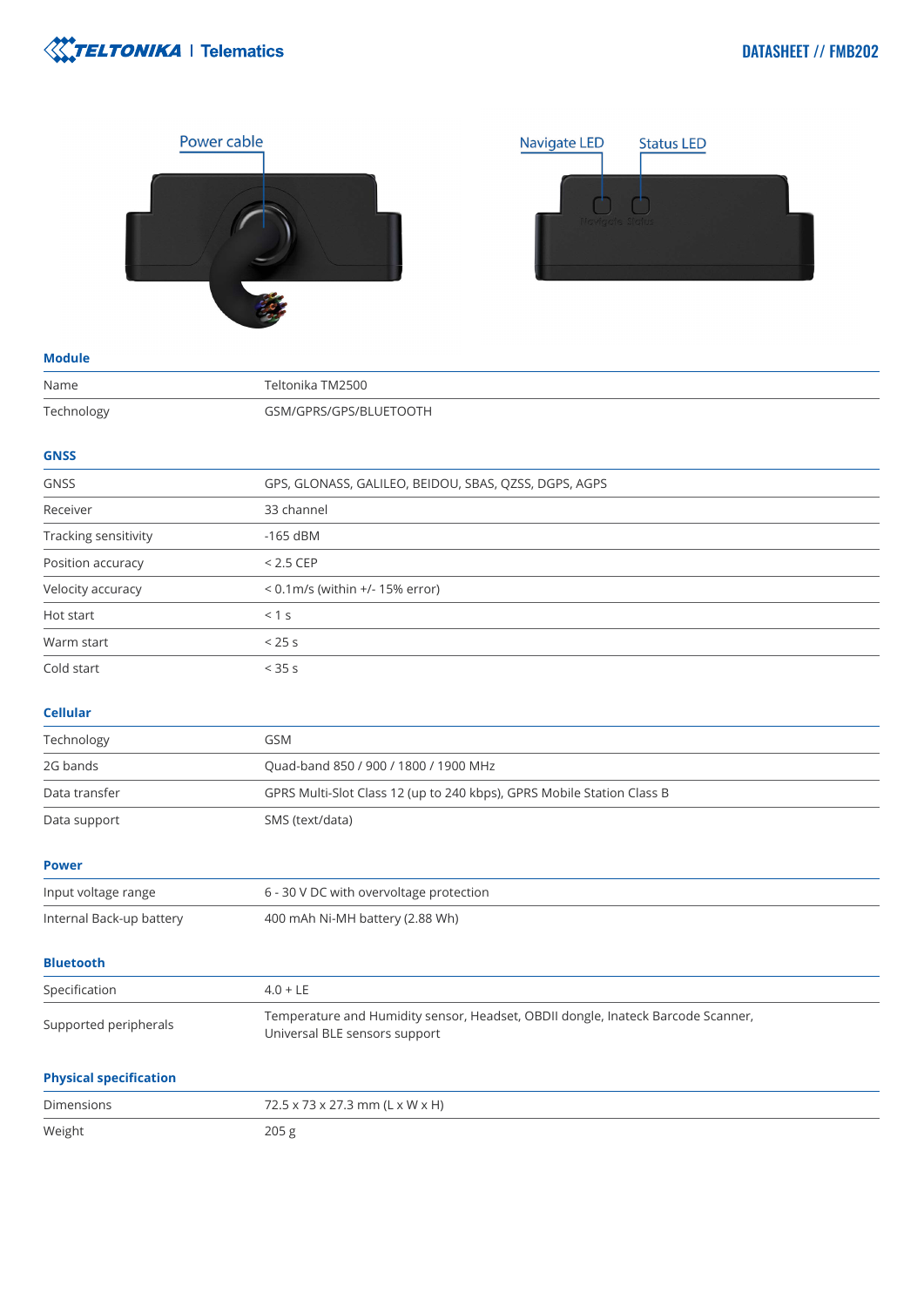



| ۰. | . . | . .<br>n e s | u,<br>٧ |
|----|-----|--------------|---------|
|    |     |              |         |

| Name                     | Teltonika TM2500                                                                                                  |  |
|--------------------------|-------------------------------------------------------------------------------------------------------------------|--|
| Technology               | GSM/GPRS/GPS/BLUETOOTH                                                                                            |  |
| <b>GNSS</b>              |                                                                                                                   |  |
| <b>GNSS</b>              | GPS, GLONASS, GALILEO, BEIDOU, SBAS, QZSS, DGPS, AGPS                                                             |  |
| Receiver                 | 33 channel                                                                                                        |  |
| Tracking sensitivity     | $-165$ dBM                                                                                                        |  |
| Position accuracy        | $< 2.5$ CEP                                                                                                       |  |
| Velocity accuracy        | < 0.1m/s (within +/- 15% error)                                                                                   |  |
| Hot start                | < 1 s                                                                                                             |  |
| Warm start               | < 25s                                                                                                             |  |
| Cold start               | < 35 s                                                                                                            |  |
| <b>Cellular</b>          |                                                                                                                   |  |
| Technology               | <b>GSM</b>                                                                                                        |  |
| 2G bands                 | Quad-band 850 / 900 / 1800 / 1900 MHz                                                                             |  |
| Data transfer            | GPRS Multi-Slot Class 12 (up to 240 kbps), GPRS Mobile Station Class B                                            |  |
| Data support             | SMS (text/data)                                                                                                   |  |
| <b>Power</b>             |                                                                                                                   |  |
| Input voltage range      | 6 - 30 V DC with overvoltage protection                                                                           |  |
| Internal Back-up battery | 400 mAh Ni-MH battery (2.88 Wh)                                                                                   |  |
| <b>Bluetooth</b>         |                                                                                                                   |  |
| Specification            | $4.0 + LE$                                                                                                        |  |
| Supported peripherals    | Temperature and Humidity sensor, Headset, OBDII dongle, Inateck Barcode Scanner,<br>Universal BLE sensors support |  |

## **Physical specification**

| Dimensions | 72.5 x 73 x 27.3 mm (L x W x H) |
|------------|---------------------------------|
| Weight     | 205 <sub>g</sub>                |